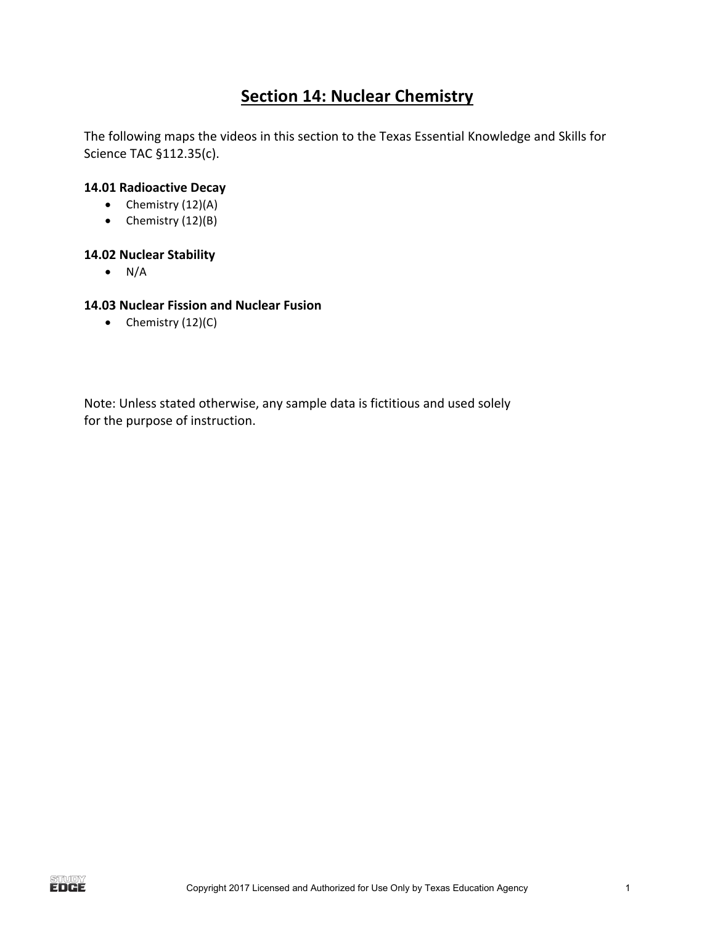## **Section 14: Nuclear Chemistry**

The following maps the videos in this section to the Texas Essential Knowledge and Skills for Science TAC §112.35(c).

#### **14.01 Radioactive Decay**

- Chemistry  $(12)(A)$
- Chemistry  $(12)(B)$

#### **14.02 Nuclear Stability**

 $\bullet$  N/A

#### **14.03 Nuclear Fission and Nuclear Fusion**

• Chemistry  $(12)(C)$ 

Note: Unless stated otherwise, any sample data is fictitious and used solely for the purpose of instruction.

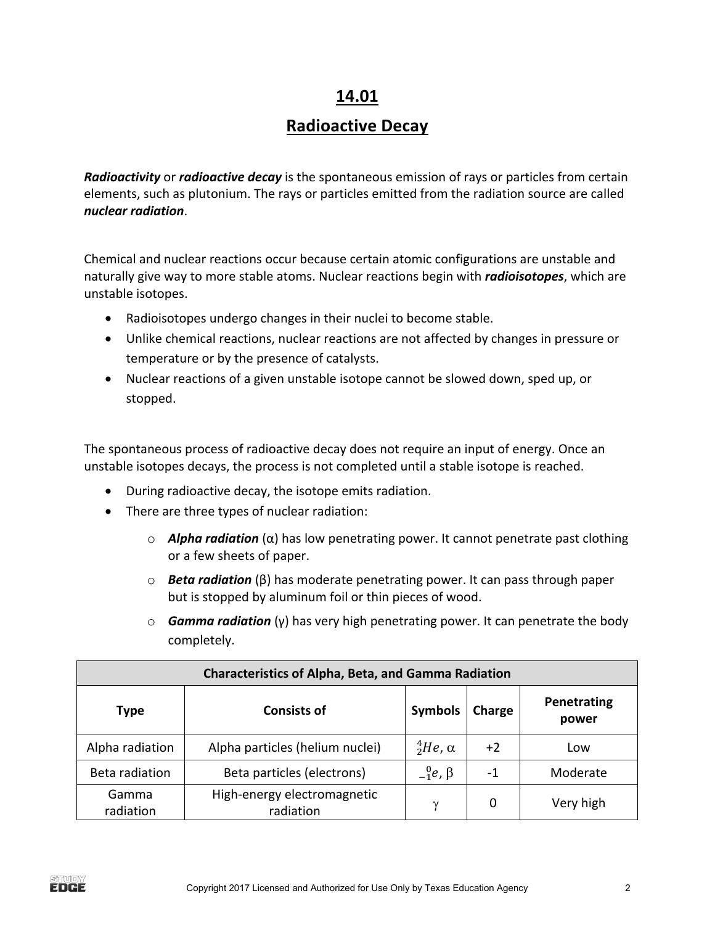### **14.01**

# **Radioactive Decay**

**Radioactivity** or **radioactive decay** is the spontaneous emission of rays or particles from certain elements, such as plutonium. The rays or particles emitted from the radiation source are called *nuclear radiation*. 

Chemical and nuclear reactions occur because certain atomic configurations are unstable and naturally give way to more stable atoms. Nuclear reactions begin with *radioisotopes*, which are unstable isotopes.

- Radioisotopes undergo changes in their nuclei to become stable.
- Unlike chemical reactions, nuclear reactions are not affected by changes in pressure or temperature or by the presence of catalysts.
- Nuclear reactions of a given unstable isotope cannot be slowed down, sped up, or stopped.

The spontaneous process of radioactive decay does not require an input of energy. Once an unstable isotopes decays, the process is not completed until a stable isotope is reached.

- During radioactive decay, the isotope emits radiation.
- There are three types of nuclear radiation:
	- o *Alpha radiation* (α) has low penetrating power. It cannot penetrate past clothing or a few sheets of paper.
	- o *Beta radiation* (β) has moderate penetrating power. It can pass through paper but is stopped by aluminum foil or thin pieces of wood.
	- o *Gamma radiation* (γ) has very high penetrating power. It can penetrate the body completely.

|                    | <b>Characteristics of Alpha, Beta, and Gamma Radiation</b><br>Penetrating<br><b>Symbols</b><br><b>Consists of</b><br>Charge<br>power |                           |      |           |  |  |  |  |  |  |  |
|--------------------|--------------------------------------------------------------------------------------------------------------------------------------|---------------------------|------|-----------|--|--|--|--|--|--|--|
| Type               |                                                                                                                                      |                           |      |           |  |  |  |  |  |  |  |
| Alpha radiation    | Alpha particles (helium nuclei)                                                                                                      | ${}^{4}_{2}He$ , $\alpha$ | $+2$ | Low       |  |  |  |  |  |  |  |
| Beta radiation     | Beta particles (electrons)                                                                                                           | $_{-1}^0e$ , $\beta$      | $-1$ | Moderate  |  |  |  |  |  |  |  |
| Gamma<br>radiation | High-energy electromagnetic<br>radiation                                                                                             | $\gamma$                  | 0    | Very high |  |  |  |  |  |  |  |

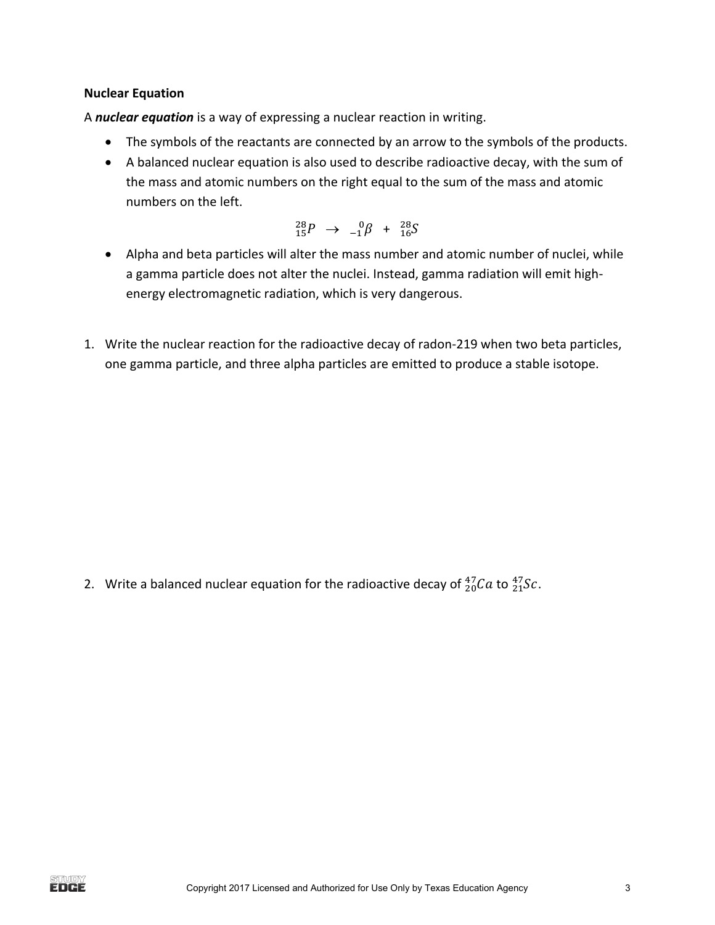#### **Nuclear Equation**

A **nuclear equation** is a way of expressing a nuclear reaction in writing.

- The symbols of the reactants are connected by an arrow to the symbols of the products.
- A balanced nuclear equation is also used to describe radioactive decay, with the sum of the mass and atomic numbers on the right equal to the sum of the mass and atomic numbers on the left.

$$
^{28}_{15}P \rightarrow -^{0}_{1}\beta + ^{28}_{16}S
$$

- Alpha and beta particles will alter the mass number and atomic number of nuclei, while a gamma particle does not alter the nuclei. Instead, gamma radiation will emit highenergy electromagnetic radiation, which is very dangerous.
- 1. Write the nuclear reaction for the radioactive decay of radon-219 when two beta particles, one gamma particle, and three alpha particles are emitted to produce a stable isotope.

2. Write a balanced nuclear equation for the radioactive decay of  $^{47}_{20}Ca$  to  $^{47}_{21}Sc$ .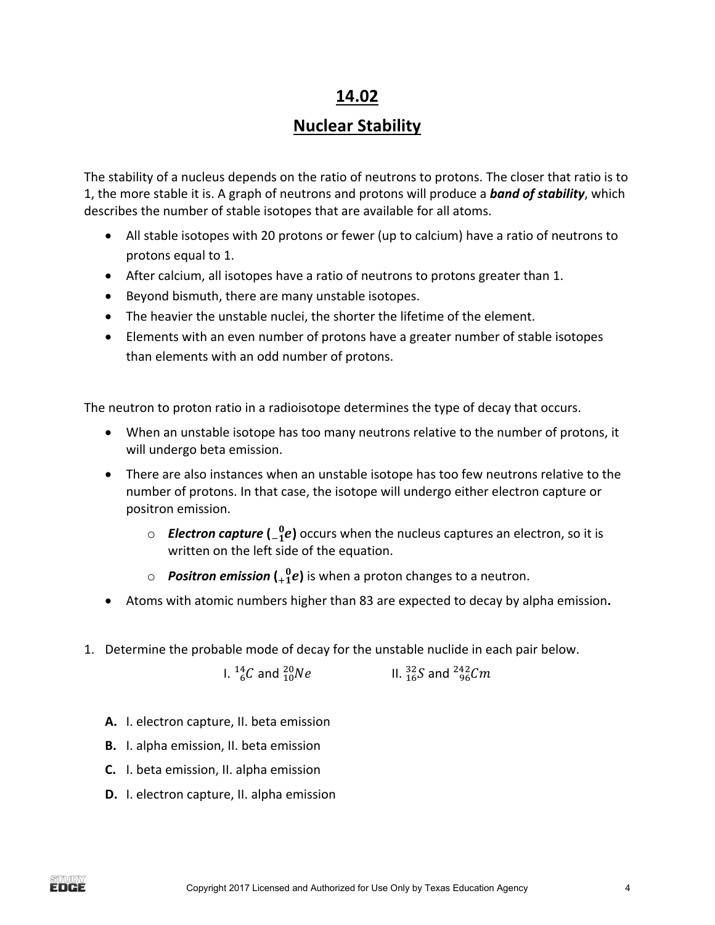### **14.02**

## **Nuclear Stability**

The stability of a nucleus depends on the ratio of neutrons to protons. The closer that ratio is to 1, the more stable it is. A graph of neutrons and protons will produce a **band of stability**, which describes the number of stable isotopes that are available for all atoms.

- All stable isotopes with 20 protons or fewer (up to calcium) have a ratio of neutrons to protons equal to 1.
- After calcium, all isotopes have a ratio of neutrons to protons greater than 1.
- Beyond bismuth, there are many unstable isotopes.
- The heavier the unstable nuclei, the shorter the lifetime of the element.
- Elements with an even number of protons have a greater number of stable isotopes than elements with an odd number of protons.

The neutron to proton ratio in a radioisotope determines the type of decay that occurs.

- When an unstable isotope has too many neutrons relative to the number of protons, it will undergo beta emission.
- There are also instances when an unstable isotope has too few neutrons relative to the number of protons. In that case, the isotope will undergo either electron capture or positron emission.
	- $\circ$  **Electron capture**  $\begin{pmatrix} 0 & 0 \\ 0 & 1 \end{pmatrix}$  occurs when the nucleus captures an electron, so it is written on the left side of the equation.
	- $\circ$  **Positron emission**  $\begin{pmatrix} 0 & 0 \\ 0 & 1 \end{pmatrix}$  is when a proton changes to a neutron.
- Atoms with atomic numbers higher than 83 are expected to decay by alpha emission.
- 1. Determine the probable mode of decay for the unstable nuclide in each pair below.

I.  $^{14}_{6}C$  and  $^{20}_{10}Ne$   $\hspace{1cm}$  II.  $^{32}_{16}S$  and  $^{242}_{96}Cm$ 

- A. I. electron capture, II. beta emission
- **B.** I. alpha emission, II. beta emission
- **C.** I. beta emission, II. alpha emission
- **D.** I. electron capture, II. alpha emission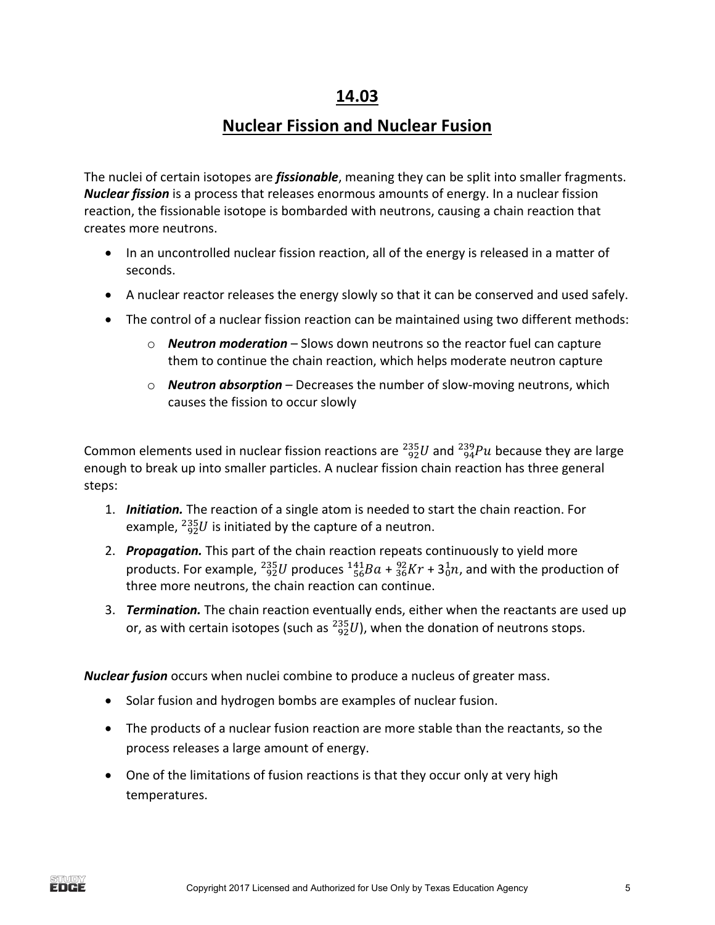### **14.03**

# **Nuclear Fission and Nuclear Fusion**

The nuclei of certain isotopes are *fissionable*, meaning they can be split into smaller fragments. *Nuclear fission* is a process that releases enormous amounts of energy. In a nuclear fission reaction, the fissionable isotope is bombarded with neutrons, causing a chain reaction that creates more neutrons.

- In an uncontrolled nuclear fission reaction, all of the energy is released in a matter of seconds.
- A nuclear reactor releases the energy slowly so that it can be conserved and used safely.
- The control of a nuclear fission reaction can be maintained using two different methods:
	- o **Neutron moderation** Slows down neutrons so the reactor fuel can capture them to continue the chain reaction, which helps moderate neutron capture
	- o **Neutron absorption** Decreases the number of slow-moving neutrons, which causes the fission to occur slowly

Common elements used in nuclear fission reactions are  $^{235}_{92}U$  and  $^{239}_{94}Pu$  because they are large enough to break up into smaller particles. A nuclear fission chain reaction has three general steps:

- 1. **Initiation.** The reaction of a single atom is needed to start the chain reaction. For example,  $^{235}_{92}U$  is initiated by the capture of a neutron.
- 2. **Propagation.** This part of the chain reaction repeats continuously to yield more products. For example,  $^{235}_{92}U$  produces  $^{141}_{56}Ba + ^{92}_{36}Kr + 3^1_0n$ , and with the production of three more neutrons, the chain reaction can continue.
- 3. **Termination.** The chain reaction eventually ends, either when the reactants are used up or, as with certain isotopes (such as  $^{235}_{92}U$ ), when the donation of neutrons stops.

*Nuclear fusion* occurs when nuclei combine to produce a nucleus of greater mass.

- Solar fusion and hydrogen bombs are examples of nuclear fusion.
- The products of a nuclear fusion reaction are more stable than the reactants, so the process releases a large amount of energy.
- One of the limitations of fusion reactions is that they occur only at very high temperatures.

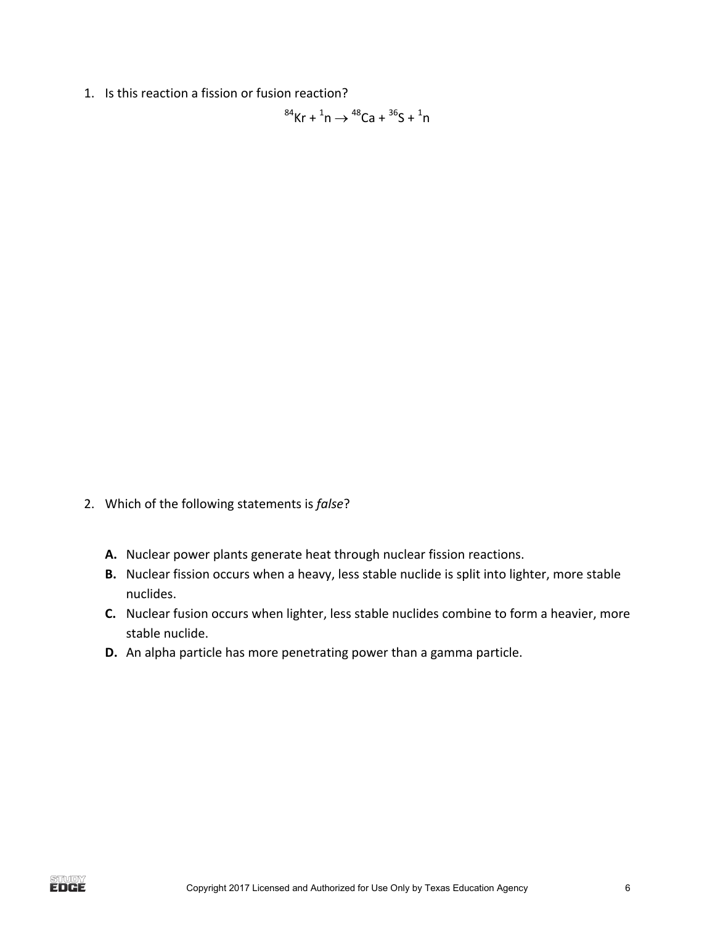1. Is this reaction a fission or fusion reaction?

 ${}^{84}$ Kr +  ${}^{1}$ n  $\rightarrow$   ${}^{48}$ Ca +  ${}^{36}$ S +  ${}^{1}$ n

- 2. Which of the following statements is *false*?
	- A. Nuclear power plants generate heat through nuclear fission reactions.
	- **B.** Nuclear fission occurs when a heavy, less stable nuclide is split into lighter, more stable nuclides.
	- **C.** Nuclear fusion occurs when lighter, less stable nuclides combine to form a heavier, more stable nuclide.
	- **D.** An alpha particle has more penetrating power than a gamma particle.